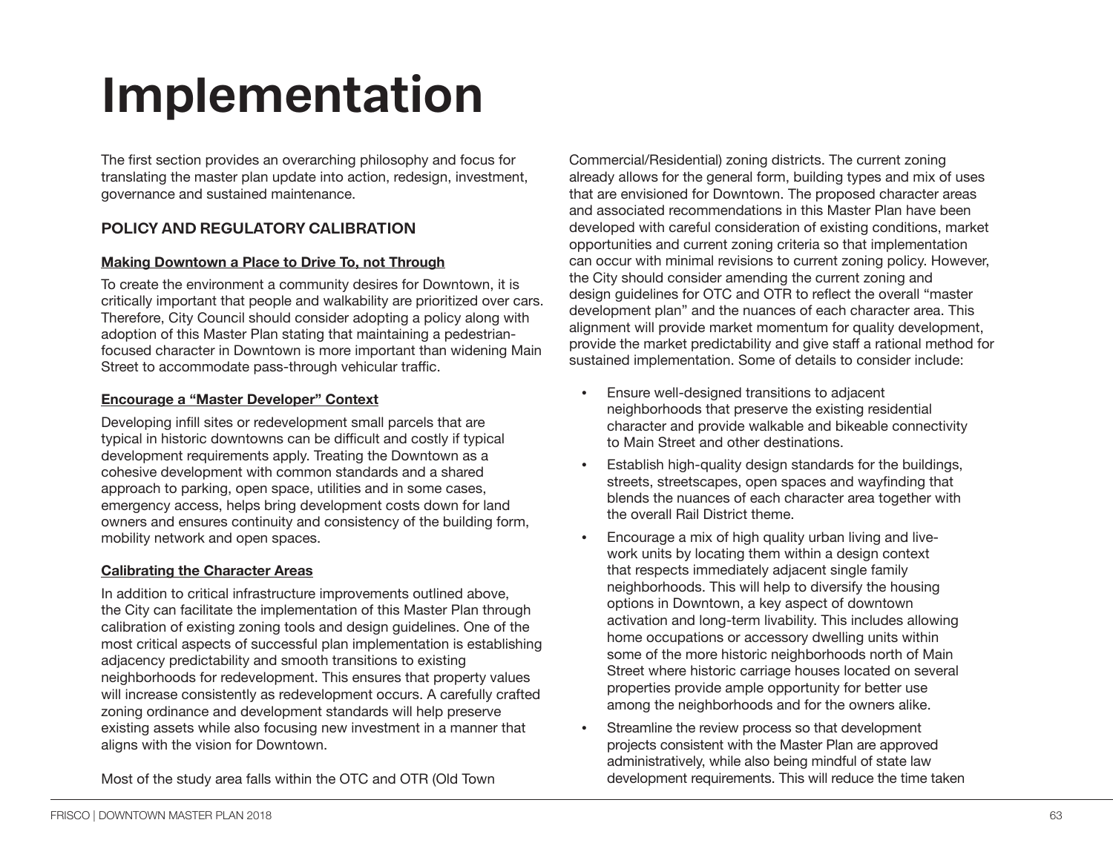# **Implementation**

The first section provides an overarching philosophy and focus for translating the master plan update into action, redesign, investment, governance and sustained maintenance.

# **POLICY AND REGULATORY CALIBRATION**

#### **Making Downtown a Place to Drive To, not Through**

To create the environment a community desires for Downtown, it is critically important that people and walkability are prioritized over cars. Therefore, City Council should consider adopting a policy along with adoption of this Master Plan stating that maintaining a pedestrianfocused character in Downtown is more important than widening Main Street to accommodate pass-through vehicular traffic.

#### **Encourage a "Master Developer" Context**

Developing infill sites or redevelopment small parcels that are typical in historic downtowns can be difficult and costly if typical development requirements apply. Treating the Downtown as a cohesive development with common standards and a shared approach to parking, open space, utilities and in some cases, emergency access, helps bring development costs down for land owners and ensures continuity and consistency of the building form, mobility network and open spaces.

#### **Calibrating the Character Areas**

In addition to critical infrastructure improvements outlined above, the City can facilitate the implementation of this Master Plan through calibration of existing zoning tools and design guidelines. One of the most critical aspects of successful plan implementation is establishing adjacency predictability and smooth transitions to existing neighborhoods for redevelopment. This ensures that property values will increase consistently as redevelopment occurs. A carefully crafted zoning ordinance and development standards will help preserve existing assets while also focusing new investment in a manner that aligns with the vision for Downtown.

Most of the study area falls within the OTC and OTR (Old Town

Commercial/Residential) zoning districts. The current zoning already allows for the general form, building types and mix of uses that are envisioned for Downtown. The proposed character areas and associated recommendations in this Master Plan have been developed with careful consideration of existing conditions, market opportunities and current zoning criteria so that implementation can occur with minimal revisions to current zoning policy. However, the City should consider amending the current zoning and design guidelines for OTC and OTR to reflect the overall "master development plan" and the nuances of each character area. This alignment will provide market momentum for quality development, provide the market predictability and give staff a rational method for sustained implementation. Some of details to consider include:

- Ensure well-designed transitions to adjacent neighborhoods that preserve the existing residential character and provide walkable and bikeable connectivity to Main Street and other destinations.
- Establish high-quality design standards for the buildings, streets, streetscapes, open spaces and wayfinding that blends the nuances of each character area together with the overall Rail District theme.
- Encourage a mix of high quality urban living and livework units by locating them within a design context that respects immediately adjacent single family neighborhoods. This will help to diversify the housing options in Downtown, a key aspect of downtown activation and long-term livability. This includes allowing home occupations or accessory dwelling units within some of the more historic neighborhoods north of Main Street where historic carriage houses located on several properties provide ample opportunity for better use among the neighborhoods and for the owners alike.
- Streamline the review process so that development projects consistent with the Master Plan are approved administratively, while also being mindful of state law development requirements. This will reduce the time taken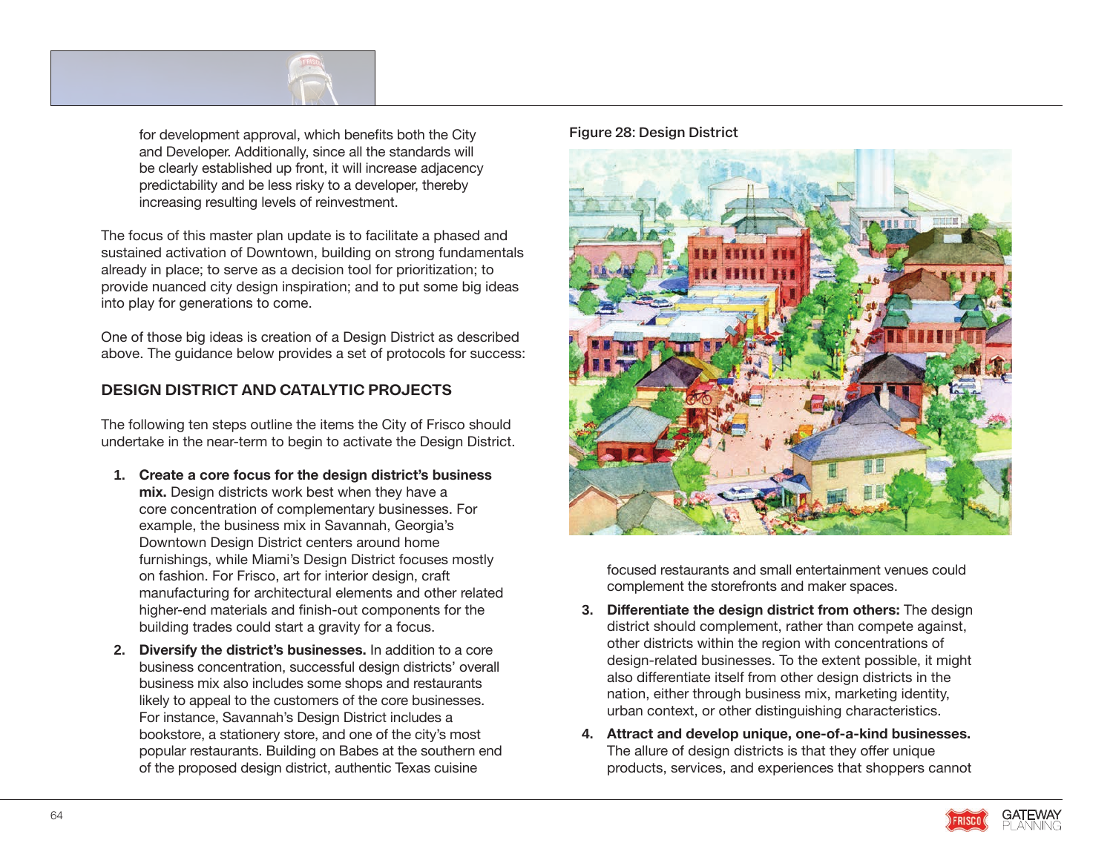

for development approval, which benefits both the City and Developer. Additionally, since all the standards will be clearly established up front, it will increase adjacency predictability and be less risky to a developer, thereby increasing resulting levels of reinvestment.

The focus of this master plan update is to facilitate a phased and sustained activation of Downtown, building on strong fundamentals already in place; to serve as a decision tool for prioritization; to provide nuanced city design inspiration; and to put some big ideas into play for generations to come.

One of those big ideas is creation of a Design District as described above. The guidance below provides a set of protocols for success:

# **DESIGN DISTRICT AND CATALYTIC PROJECTS**

The following ten steps outline the items the City of Frisco should undertake in the near-term to begin to activate the Design District.

- **1. Create a core focus for the design district's business mix.** Design districts work best when they have a core concentration of complementary businesses. For example, the business mix in Savannah, Georgia's Downtown Design District centers around home furnishings, while Miami's Design District focuses mostly on fashion. For Frisco, art for interior design, craft manufacturing for architectural elements and other related higher-end materials and finish-out components for the building trades could start a gravity for a focus.
- **2. Diversify the district's businesses.** In addition to a core business concentration, successful design districts' overall business mix also includes some shops and restaurants likely to appeal to the customers of the core businesses. For instance, Savannah's Design District includes a bookstore, a stationery store, and one of the city's most popular restaurants. Building on Babes at the southern end of the proposed design district, authentic Texas cuisine

#### **Figure 28: Design District**



focused restaurants and small entertainment venues could complement the storefronts and maker spaces.

- **3. Differentiate the design district from others:** The design district should complement, rather than compete against, other districts within the region with concentrations of design-related businesses. To the extent possible, it might also differentiate itself from other design districts in the nation, either through business mix, marketing identity, urban context, or other distinguishing characteristics.
- **4. Attract and develop unique, one-of-a-kind businesses.** The allure of design districts is that they offer unique products, services, and experiences that shoppers cannot



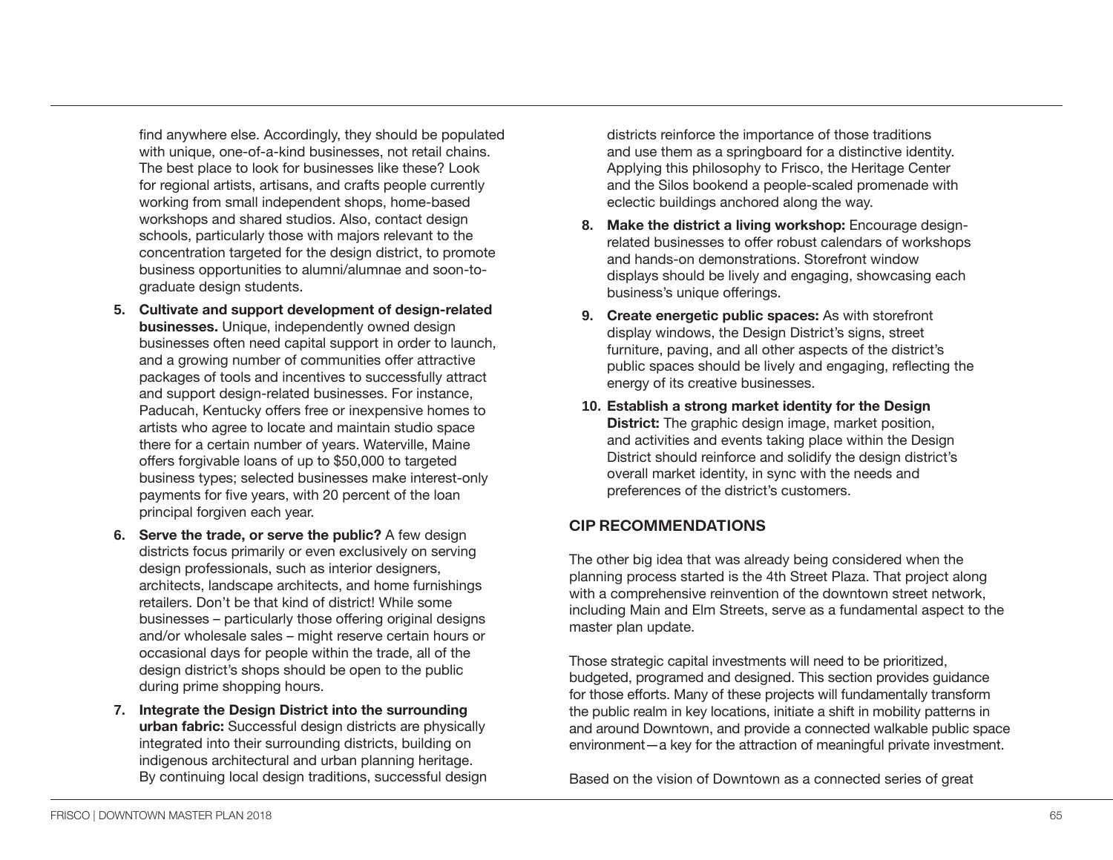find anywhere else. Accordingly, they should be populated with unique, one-of-a-kind businesses, not retail chains. The best place to look for businesses like these? Look for regional artists, artisans, and crafts people currently working from small independent shops, home-based workshops and shared studios. Also, contact design schools, particularly those with majors relevant to the concentration targeted for the design district, to promote business opportunities to alumni/alumnae and soon-tograduate design students.

- **5. Cultivate and support development of design-related businesses.** Unique, independently owned design businesses often need capital support in order to launch, and a growing number of communities offer attractive packages of tools and incentives to successfully attract and support design-related businesses. For instance, Paducah, Kentucky offers free or inexpensive homes to artists who agree to locate and maintain studio space there for a certain number of years. Waterville, Maine offers forgivable loans of up to \$50,000 to targeted business types; selected businesses make interest-only payments for five years, with 20 percent of the loan principal forgiven each year.
- **6. Serve the trade, or serve the public?** A few design districts focus primarily or even exclusively on serving design professionals, such as interior designers, architects, landscape architects, and home furnishings retailers. Don't be that kind of district! While some businesses – particularly those offering original designs and/or wholesale sales – might reserve certain hours or occasional days for people within the trade, all of the design district's shops should be open to the public during prime shopping hours.
- **7. Integrate the Design District into the surrounding urban fabric:** Successful design districts are physically integrated into their surrounding districts, building on indigenous architectural and urban planning heritage. By continuing local design traditions, successful design

districts reinforce the importance of those traditions and use them as a springboard for a distinctive identity. Applying this philosophy to Frisco, the Heritage Center and the Silos bookend a people-scaled promenade with eclectic buildings anchored along the way.

- **8. Make the district a living workshop:** Encourage designrelated businesses to offer robust calendars of workshops and hands-on demonstrations. Storefront window displays should be lively and engaging, showcasing each business's unique offerings.
- **9. Create energetic public spaces:** As with storefront display windows, the Design District's signs, street furniture, paving, and all other aspects of the district's public spaces should be lively and engaging, reflecting the energy of its creative businesses.
- **10. Establish a strong market identity for the Design District:** The graphic design image, market position, and activities and events taking place within the Design District should reinforce and solidify the design district's overall market identity, in sync with the needs and preferences of the district's customers.

# **CIP RECOMMENDATIONS**

The other big idea that was already being considered when the planning process started is the 4th Street Plaza. That project along with a comprehensive reinvention of the downtown street network, including Main and Elm Streets, serve as a fundamental aspect to the master plan update.

Those strategic capital investments will need to be prioritized, budgeted, programed and designed. This section provides guidance for those efforts. Many of these projects will fundamentally transform the public realm in key locations, initiate a shift in mobility patterns in and around Downtown, and provide a connected walkable public space environment—a key for the attraction of meaningful private investment.

Based on the vision of Downtown as a connected series of great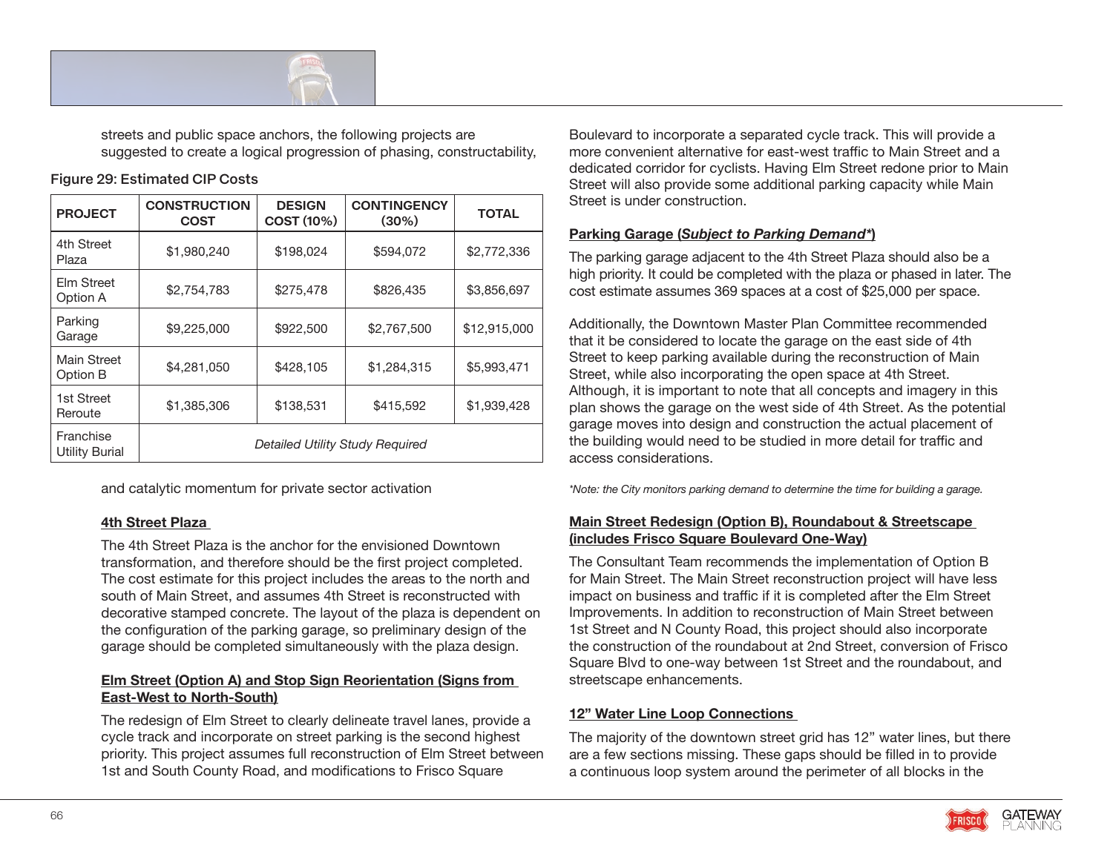

streets and public space anchors, the following projects are suggested to create a logical progression of phasing, constructability,

### **Figure 29: Estimated CIP Costs**

| <b>PROJECT</b>              | <b>CONSTRUCTION</b><br><b>COST</b>     | <b>DESIGN</b><br><b>COST (10%)</b> | <b>CONTINGENCY</b><br>$(30\%)$ | <b>TOTAL</b> |  |
|-----------------------------|----------------------------------------|------------------------------------|--------------------------------|--------------|--|
| 4th Street<br>Plaza         | \$1,980,240                            | \$198,024                          | \$594,072                      | \$2,772,336  |  |
| Elm Street<br>Option A      | \$2,754,783                            | \$275,478                          | \$826,435                      | \$3,856,697  |  |
| Parking<br>Garage           | \$9,225,000                            | \$922,500                          | \$2,767,500                    | \$12,915,000 |  |
| Main Street<br>Option B     | \$4,281,050                            | \$428,105                          | \$1,284,315                    | \$5,993,471  |  |
| 1st Street<br>Reroute       | \$1,385,306                            | \$138,531                          | \$415,592                      | \$1,939,428  |  |
| Franchise<br>Utility Burial | <b>Detailed Utility Study Required</b> |                                    |                                |              |  |

and catalytic momentum for private sector activation

## **4th Street Plaza**

The 4th Street Plaza is the anchor for the envisioned Downtown transformation, and therefore should be the first project completed. The cost estimate for this project includes the areas to the north and south of Main Street, and assumes 4th Street is reconstructed with decorative stamped concrete. The layout of the plaza is dependent on the configuration of the parking garage, so preliminary design of the garage should be completed simultaneously with the plaza design.

## **Elm Street (Option A) and Stop Sign Reorientation (Signs from East-West to North-South)**

The redesign of Elm Street to clearly delineate travel lanes, provide a cycle track and incorporate on street parking is the second highest priority. This project assumes full reconstruction of Elm Street between 1st and South County Road, and modifications to Frisco Square

Boulevard to incorporate a separated cycle track. This will provide a more convenient alternative for east-west traffic to Main Street and a dedicated corridor for cyclists. Having Elm Street redone prior to Main Street will also provide some additional parking capacity while Main Street is under construction.

## **Parking Garage (***Subject to Parking Demand\****)**

The parking garage adjacent to the 4th Street Plaza should also be a high priority. It could be completed with the plaza or phased in later. The cost estimate assumes 369 spaces at a cost of \$25,000 per space.

Additionally, the Downtown Master Plan Committee recommended that it be considered to locate the garage on the east side of 4th Street to keep parking available during the reconstruction of Main Street, while also incorporating the open space at 4th Street. Although, it is important to note that all concepts and imagery in this plan shows the garage on the west side of 4th Street. As the potential garage moves into design and construction the actual placement of the building would need to be studied in more detail for traffic and access considerations.

*\*Note: the City monitors parking demand to determine the time for building a garage.*

## **Main Street Redesign (Option B), Roundabout & Streetscape (includes Frisco Square Boulevard One-Way)**

The Consultant Team recommends the implementation of Option B for Main Street. The Main Street reconstruction project will have less impact on business and traffic if it is completed after the Elm Street Improvements. In addition to reconstruction of Main Street between 1st Street and N County Road, this project should also incorporate the construction of the roundabout at 2nd Street, conversion of Frisco Square Blvd to one-way between 1st Street and the roundabout, and streetscape enhancements.

# **12" Water Line Loop Connections**

The majority of the downtown street grid has 12" water lines, but there are a few sections missing. These gaps should be filled in to provide a continuous loop system around the perimeter of all blocks in the

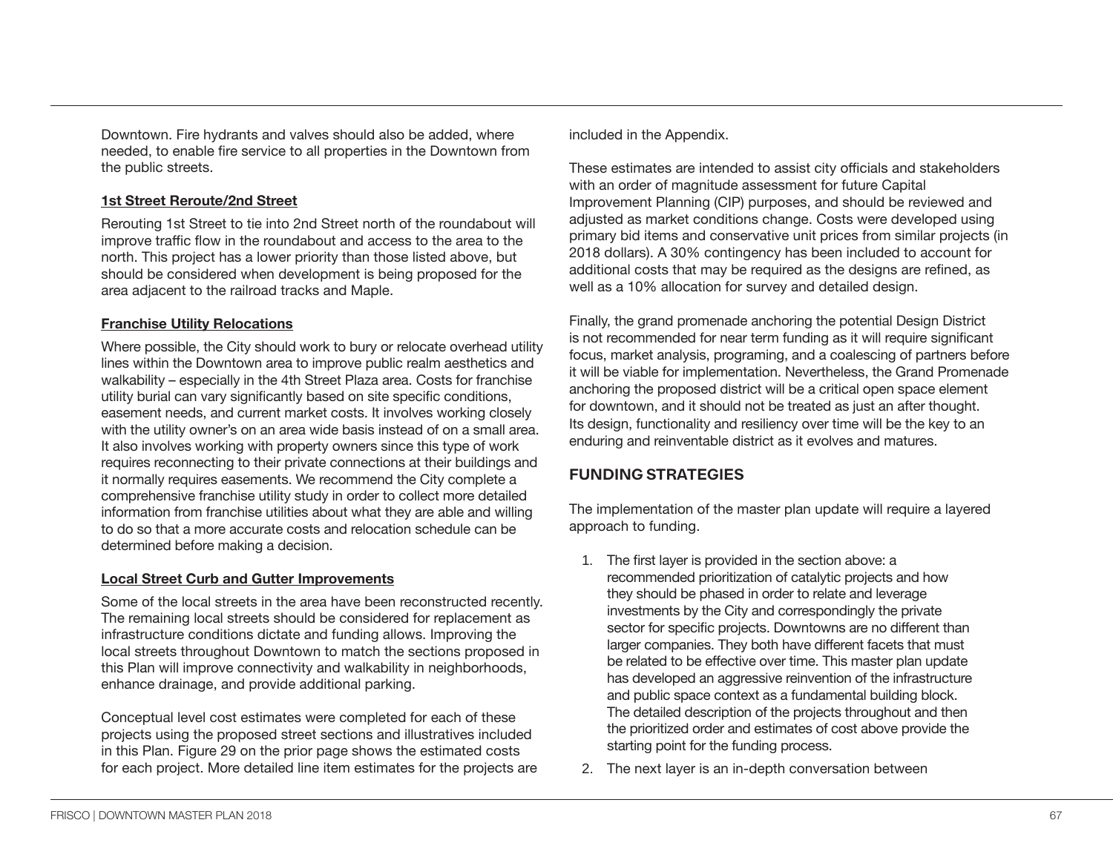Downtown. Fire hydrants and valves should also be added, where needed, to enable fire service to all properties in the Downtown from the public streets.

#### **1st Street Reroute/2nd Street**

Rerouting 1st Street to tie into 2nd Street north of the roundabout will improve traffic flow in the roundabout and access to the area to the north. This project has a lower priority than those listed above, but should be considered when development is being proposed for the area adjacent to the railroad tracks and Maple.

#### **Franchise Utility Relocations**

Where possible, the City should work to bury or relocate overhead utility lines within the Downtown area to improve public realm aesthetics and walkability – especially in the 4th Street Plaza area. Costs for franchise utility burial can vary significantly based on site specific conditions, easement needs, and current market costs. It involves working closely with the utility owner's on an area wide basis instead of on a small area. It also involves working with property owners since this type of work requires reconnecting to their private connections at their buildings and it normally requires easements. We recommend the City complete a comprehensive franchise utility study in order to collect more detailed information from franchise utilities about what they are able and willing to do so that a more accurate costs and relocation schedule can be determined before making a decision.

#### **Local Street Curb and Gutter Improvements**

Some of the local streets in the area have been reconstructed recently. The remaining local streets should be considered for replacement as infrastructure conditions dictate and funding allows. Improving the local streets throughout Downtown to match the sections proposed in this Plan will improve connectivity and walkability in neighborhoods, enhance drainage, and provide additional parking.

Conceptual level cost estimates were completed for each of these projects using the proposed street sections and illustratives included in this Plan. Figure 29 on the prior page shows the estimated costs for each project. More detailed line item estimates for the projects are included in the Appendix.

These estimates are intended to assist city officials and stakeholders with an order of magnitude assessment for future Capital Improvement Planning (CIP) purposes, and should be reviewed and adjusted as market conditions change. Costs were developed using primary bid items and conservative unit prices from similar projects (in 2018 dollars). A 30% contingency has been included to account for additional costs that may be required as the designs are refined, as well as a 10% allocation for survey and detailed design.

Finally, the grand promenade anchoring the potential Design District is not recommended for near term funding as it will require significant focus, market analysis, programing, and a coalescing of partners before it will be viable for implementation. Nevertheless, the Grand Promenade anchoring the proposed district will be a critical open space element for downtown, and it should not be treated as just an after thought. Its design, functionality and resiliency over time will be the key to an enduring and reinventable district as it evolves and matures.

# **FUNDING STRATEGIES**

The implementation of the master plan update will require a layered approach to funding.

- 1. The first layer is provided in the section above: a recommended prioritization of catalytic projects and how they should be phased in order to relate and leverage investments by the City and correspondingly the private sector for specific projects. Downtowns are no different than larger companies. They both have different facets that must be related to be effective over time. This master plan update has developed an aggressive reinvention of the infrastructure and public space context as a fundamental building block. The detailed description of the projects throughout and then the prioritized order and estimates of cost above provide the starting point for the funding process.
- 2. The next layer is an in-depth conversation between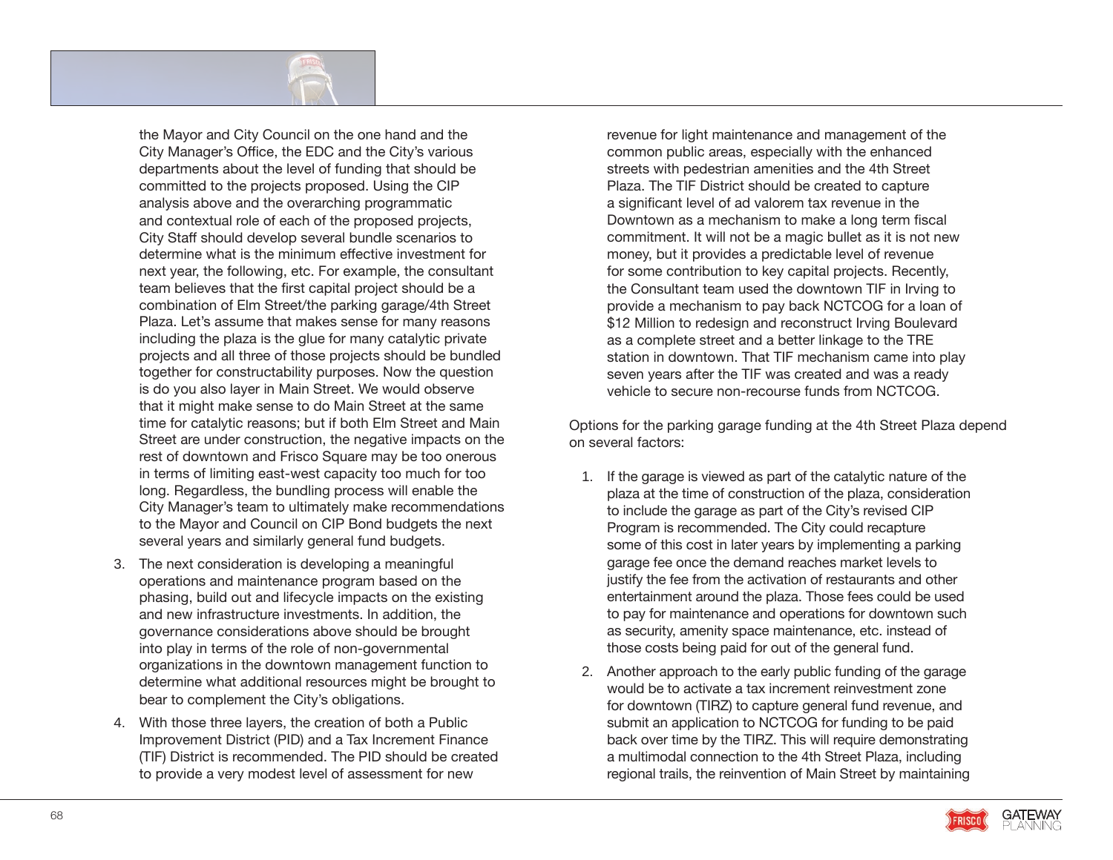

the Mayor and City Council on the one hand and the City Manager's Office, the EDC and the City's various departments about the level of funding that should be committed to the projects proposed. Using the CIP analysis above and the overarching programmatic and contextual role of each of the proposed projects, City Staff should develop several bundle scenarios to determine what is the minimum effective investment for next year, the following, etc. For example, the consultant team believes that the first capital project should be a combination of Elm Street/the parking garage/4th Street Plaza. Let's assume that makes sense for many reasons including the plaza is the glue for many catalytic private projects and all three of those projects should be bundled together for constructability purposes. Now the question is do you also layer in Main Street. We would observe that it might make sense to do Main Street at the same time for catalytic reasons; but if both Elm Street and Main Street are under construction, the negative impacts on the rest of downtown and Frisco Square may be too onerous in terms of limiting east-west capacity too much for too long. Regardless, the bundling process will enable the City Manager's team to ultimately make recommendations to the Mayor and Council on CIP Bond budgets the next several years and similarly general fund budgets.

- 3. The next consideration is developing a meaningful operations and maintenance program based on the phasing, build out and lifecycle impacts on the existing and new infrastructure investments. In addition, the governance considerations above should be brought into play in terms of the role of non-governmental organizations in the downtown management function to determine what additional resources might be brought to bear to complement the City's obligations.
- 4. With those three layers, the creation of both a Public Improvement District (PID) and a Tax Increment Finance (TIF) District is recommended. The PID should be created to provide a very modest level of assessment for new

revenue for light maintenance and management of the common public areas, especially with the enhanced streets with pedestrian amenities and the 4th Street Plaza. The TIF District should be created to capture a significant level of ad valorem tax revenue in the Downtown as a mechanism to make a long term fiscal commitment. It will not be a magic bullet as it is not new money, but it provides a predictable level of revenue for some contribution to key capital projects. Recently, the Consultant team used the downtown TIF in Irving to provide a mechanism to pay back NCTCOG for a loan of \$12 Million to redesign and reconstruct Irving Boulevard as a complete street and a better linkage to the TRE station in downtown. That TIF mechanism came into play seven years after the TIF was created and was a ready vehicle to secure non-recourse funds from NCTCOG.

Options for the parking garage funding at the 4th Street Plaza depend on several factors:

- 1. If the garage is viewed as part of the catalytic nature of the plaza at the time of construction of the plaza, consideration to include the garage as part of the City's revised CIP Program is recommended. The City could recapture some of this cost in later years by implementing a parking garage fee once the demand reaches market levels to justify the fee from the activation of restaurants and other entertainment around the plaza. Those fees could be used to pay for maintenance and operations for downtown such as security, amenity space maintenance, etc. instead of those costs being paid for out of the general fund.
- 2. Another approach to the early public funding of the garage would be to activate a tax increment reinvestment zone for downtown (TIRZ) to capture general fund revenue, and submit an application to NCTCOG for funding to be paid back over time by the TIRZ. This will require demonstrating a multimodal connection to the 4th Street Plaza, including regional trails, the reinvention of Main Street by maintaining

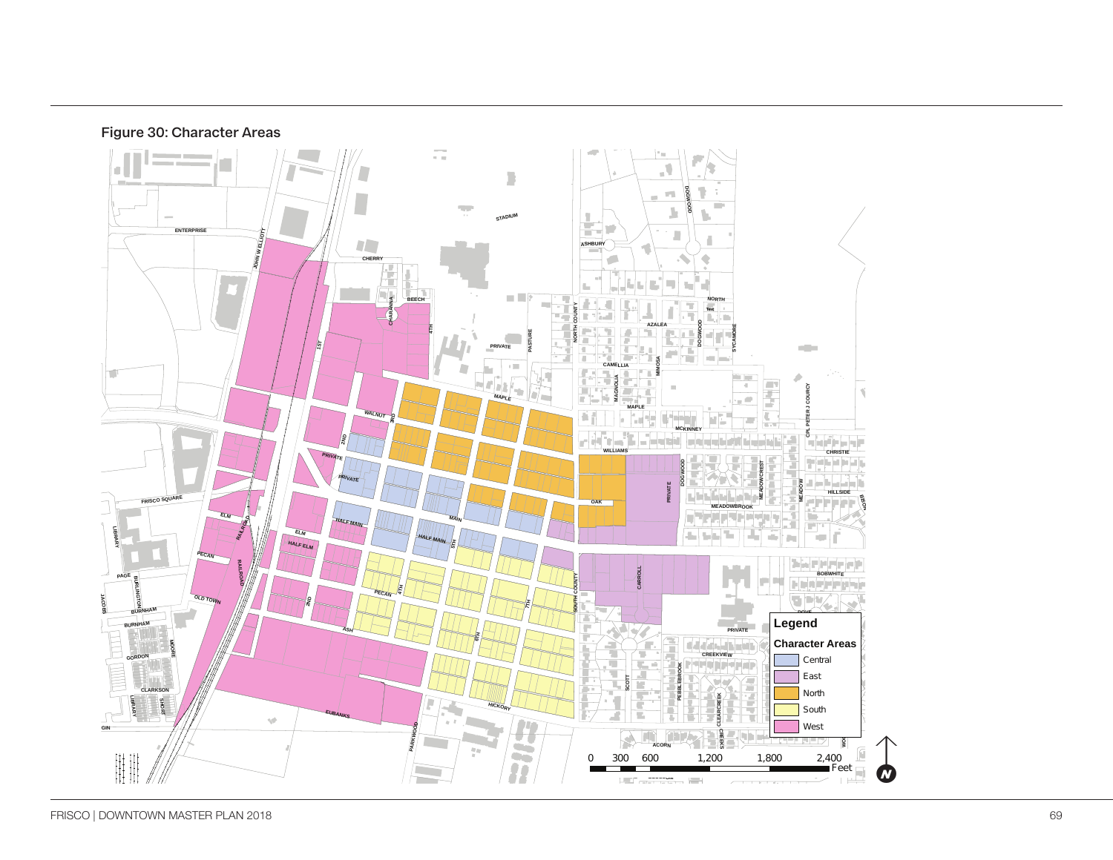



Frisco Downtown | Character Areas